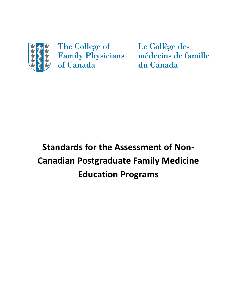

The College of **Family Physicians** of Canada

Le Collège des médecins de famille du Canada

# **Standards for the Assessment of Non-Canadian Postgraduate Family Medicine Education Programs**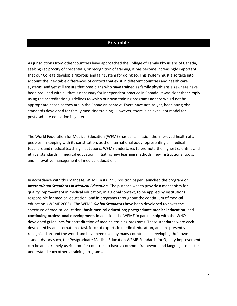### **Preamble**

As jurisdictions from other countries have approached the College of Family Physicians of Canada, seeking reciprocity of credentials, or recognition of training, it has become increasingly important that our College develop a rigorous and fair system for doing so. This system must also take into account the inevitable differences of context that exist in different countries and health care systems, and yet still ensure that physicians who have trained as family physicians elsewhere have been provided with all that is necessary for independent practice in Canada. It was clear that simply using the accreditation guidelines to which our own training programs adhere would not be appropriate based as they are in the Canadian context. There have not, as yet, been any global standards developed for family medicine training. However, there is an excellent model for postgraduate education in general.

The World Federation for Medical Education (WFME) has as its mission the improved health of all peoples. In keeping with its constitution, as the international body representing all medical teachers and medical teaching institutions, WFME undertakes to promote the highest scientific and ethical standards in medical education, initiating new learning methods, new instructional tools, and innovative management of medical education.

In accordance with this mandate, WFME in its 1998 position paper, launched the program on *International Standards in Medical Education.* The purpose was to provide a mechanism for quality improvement in medical education, in a global context, to be applied by institutions responsible for medical education, and in programs throughout the continuum of medical education. (WFME 2003) The WFME *Global Standards* have been developed to cover the spectrum of medical education: **basic medical education; postgraduate medical education**; and **continuing professional development**. In addition, the WFME in partnership with the WHO developed guidelines for accreditation of medical training programs. These standards were each developed by an international task force of experts in medical education, and are presently recognized around the world and have been used by many countries in developing their own standards. As such, the Postgraduate Medical Education WFME Standards for Quality Improvement can be an extremely useful tool for countries to have a common framework and language to better understand each other's training programs.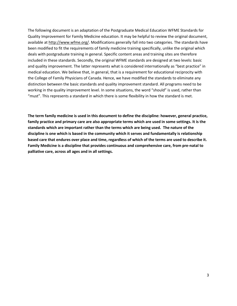The following document is an adaptation of the Postgraduate Medical Education WFME Standards for Quality Improvement for Family Medicine education. It may be helpful to review the original document, available a[t http://www.wfme.org/.](http://www.wfme.org/) Modifications generally fall into two categories. The standards have been modified to fit the requirements of family medicine training specifically, unlike the original which deals with postgraduate training in general. Specific content areas and training sites are therefore included in these standards. Secondly, the original WFME standards are designed at two levels: basic and quality improvement. The latter represents what is considered internationally as "best practice" in medical education. We believe that, in general, that is a requirement for educational reciprocity with the College of Family Physicians of Canada. Hence, we have modified the standards to eliminate any distinction between the basic standards and quality improvement standard. All programs need to be working in the quality improvement level. In some situations, the word "should" is used, rather than "must". This represents a standard in which there is some flexibility in how the standard is met.

**The term family medicine is used in this document to define the discipline: however, general practice, family practice and primary care are also appropriate terms which are used in some settings. It is the standards which are important rather than the terms which are being used. The nature of the discipline is one which is based in the community which it serves and fundamentally is relationship based care that endures over place and time, regardless of which of the terms are used to describe it. Family Medicine is a discipline that provides continuous and comprehensive care, from pre-natal to palliative care, across all ages and in all settings.**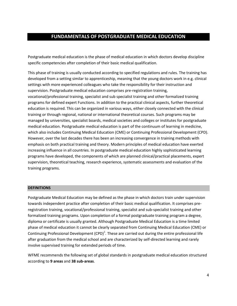### **FUNDAMENTALS OF POSTGRADUATE MEDICAL EDUCATION**

Postgraduate medical education is the phase of medical education in which doctors develop discipline specific competencies after completion of their basic medical qualification.

This phase of training is usually conducted according to specified regulations and rules. The training has developed from a setting similar to apprenticeship, meaning that the young doctors work in e.g. clinical settings with more experienced colleagues who take the responsibility for their instruction and supervision. Postgraduate medical education comprises pre-registration training, vocational/professional training, specialist and sub specialist training and other formalized training programs for defined expert Functions. In addition to the practical clinical aspects, further theoretical education is required. This can be organized in various ways, either closely connected with the clinical training or through regional, national or international theoretical courses. Such programs may be managed by universities, specialist boards, medical societies and colleges or institutes for postgraduate medical education. Postgraduate medical education is part of the continuum of learning in medicine, which also includes Continuing Medical Education (CME) or Continuing Professional Development (CPD). However, over the last decades there has been an increasing convergence in training methods with emphasis on both practical training and theory. Modern principles of medical education have exerted increasing influence in all countries. In postgraduate medical education highly sophisticated learning programs have developed, the components of which are planned clinical/practical placements, expert supervision, theoretical teaching, research experience, systematic assessments and evaluation of the training programs.

#### **DEFINITIONS**

Postgraduate Medical Education may be defined as the phase in which doctors train under supervision towards independent practice after completion of their basic medical qualification. It comprises preregistration training, vocational/professional training, specialist and sub-specialist training and other formalized training programs. Upon completion of a formal postgraduate training program a degree, diploma or certificate is usually granted. Although Postgraduate Medical Education is a time limited phase of medical education it cannot be clearly separated from Continuing Medical Education (CME) or Continuing Professional Development (CPD)<sup>1</sup>. These are carried out during the entire professional life after graduation from the medical school and are characterized by self-directed learning and rarely involve supervised training for extended periods of time.

WFME recommends the following set of global standards in postgraduate medical education structured according to **9 areas** and **38 sub-areas**.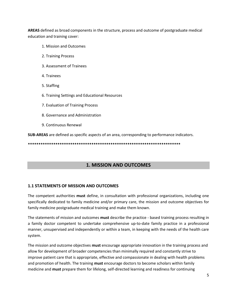**AREAS** defined as broad components in the structure, process and outcome of postgraduate medical education and training cover:

- 1. Mission and Outcomes
- 2. Training Process
- 3. Assessment of Trainees
- 4. Trainees
- 5. Staffing
- 6. Training Settings and Educational Resources
- 7. Evaluation of Training Process
- 8. Governance and Administration
- 9. Continuous Renewal

**SUB-AREAS** are defined as specific aspects of an area, corresponding to performance indicators.

**\*\*\*\*\*\*\*\*\*\*\*\*\*\*\*\*\*\*\*\*\*\*\*\*\*\*\*\*\*\*\*\*\*\*\*\*\*\*\*\*\*\*\*\*\*\*\*\*\*\*\*\*\*\*\*\*\*\*\*\*\*\*\*\*\*\*\*\*\*\*\*\*** 

### **1. MISSION AND OUTCOMES**

#### **1.1 STATEMENTS OF MISSION AND OUTCOMES**

The competent authorities **must** define, in consultation with professional organizations, including one specifically dedicated to family medicine and/or primary care, the mission and outcome objectives for family medicine postgraduate medical training and make them known.

The statements of mission and outcomes **must** describe the practice - based training process resulting in a family doctor competent to undertake comprehensive up-to-date family practice in a professional manner, unsupervised and independently or within a team, in keeping with the needs of the health care system.

The mission and outcome objectives **must** encourage appropriate innovation in the training process and allow for development of broader competencies than minimally required and constantly strive to improve patient care that is appropriate, effective and compassionate in dealing with health problems and promotion of health. The training **must** encourage doctors to become scholars within family medicine and **must** prepare them for lifelong, self-directed learning and readiness for continuing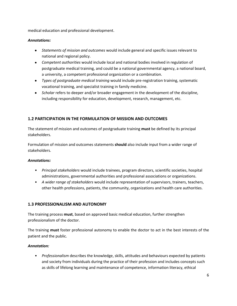medical education and professional development.

### *Annotations:*

- *Statements of mission and outcomes* would include general and specific issues relevant to national and regional policy.
- *Competent authorities* would include local and national bodies involved in regulation of postgraduate medical training, and could be a national governmental agency, a national board, a university, a competent professional organization or a combination.
- *Types of postgraduate medical training* would include pre-registration training, systematic vocational training, and specialist training in family medicine.
- *Scholar* refers to deeper and/or broader engagement in the development of the discipline, including responsibility for education, development, research, management, etc.

### **1.2 PARTICIPATION IN THE FORMULATION OF MISSION AND OUTCOMES**

The statement of mission and outcomes of postgraduate training **must** be defined by its principal stakeholders.

Formulation of mission and outcomes statements **should** also include input from a wider range of stakeholders.

### *Annotations:*

- *Principal stakeholders* would include trainees, program directors, scientific societies, hospital administrations, governmental authorities and professional associations or organizations.
- *A wider range of stakeholders* would include representation of supervisors, trainers, teachers, other health professions, patients, the community, organizations and health care authorities.

### **1.3 PROFESSIONALISM AND AUTONOMY**

The training process **must**, based on approved basic medical education, further strengthen professionalism of the doctor.

The training **must** foster professional autonomy to enable the doctor to act in the best interests of the patient and the public.

### *Annotation:*

• *Professionalism* describes the knowledge, skills, attitudes and behaviours expected by patients and society from individuals during the practice of their profession and includes concepts such as skills of lifelong learning and maintenance of competence, information literacy, ethical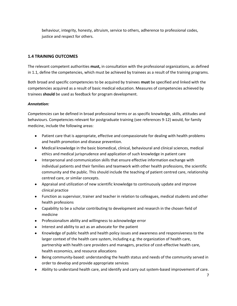behaviour, integrity, honesty, altruism, service to others, adherence to professional codes, justice and respect for others.

### **1.4 TRAINING OUTCOMES**

The relevant competent authorities **must,** in consultation with the professional organizations, as defined in 1.1, define the competencies, which must be achieved by trainees as a result of the training programs.

Both broad and specific competencies to be acquired by trainees **must** be specified and linked with the competencies acquired as a result of basic medical education. Measures of competencies achieved by trainees **should** be used as feedback for program development.

### *Annotation:*

*Competencies* can be defined in broad professional terms or as specific knowledge, skills, attitudes and behaviours. Competencies relevant for postgraduate training (see references 9-12) would, for family medicine, include the following areas:

- Patient care that is appropriate, effective and compassionate for dealing with health problems and health promotion and disease prevention.
- Medical knowledge in the basic biomedical, clinical, behavioural and clinical sciences, medical ethics and medical jurisprudence and application of such knowledge in patient care
- Interpersonal and communication skills that ensure effective information exchange with individual patients and their families and teamwork with other health professions, the scientific community and the public. This should include the teaching of patient centred care, relationship centred care, or similar concepts.
- Appraisal and utilization of new scientific knowledge to continuously update and improve clinical practice
- Function as supervisor, trainer and teacher in relation to colleagues, medical students and other health professions
- Capability to be a scholar contributing to development and research in the chosen field of medicine
- Professionalism ability and willingness to acknowledge error
- Interest and ability to act as an advocate for the patient
- Knowledge of public health and health policy issues and awareness and responsiveness to the larger context of the health care system, including e.g. the organization of health care, partnership with health care providers and managers, practice of cost-effective health care, health economics, and resource allocations
- Being community-based: understanding the health status and needs of the community served in order to develop and provide appropriate services
- Ability to understand health care, and identify and carry out system-based improvement of care.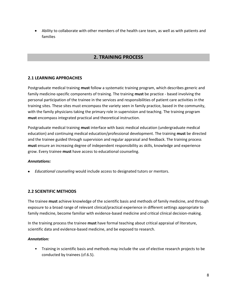Ability to collaborate with other members of the health care team, as well as with patients and families

### **2. TRAINING PROCESS**

### **2.1 LEARNING APPROACHES**

Postgraduate medical training **must** follow a systematic training program, which describes generic and family medicine-specific components of training. The training **must** be practice - based involving the personal participation of the trainee in the services and responsibilities of patient care activities in the training sites. These sites must encompass the variety seen in family practice, based in the community, with the family physicians taking the primary role in supervision and teaching. The training program **must** encompass integrated practical and theoretical instruction.

Postgraduate medical training **must** interface with basic medical education (undergraduate medical education) and continuing medical education/professional development. The training **must** be directed and the trainee guided through supervision and regular appraisal and feedback. The training process **must** ensure an increasing degree of independent responsibility as skills, knowledge and experience grow. Every trainee **must** have access to educational counseling.

#### *Annotations:*

*Educational counseling* would include access to designated tutors or mentors.

### **2.2 SCIENTIFIC METHODS**

The trainee **must** achieve knowledge of the scientific basis and methods of family medicine, and through exposure to a broad range of relevant clinical/practical experience in different settings appropriate to family medicine, become familiar with evidence-based medicine and critical clinical decision-making.

In the training process the trainee **must** have formal teaching about critical appraisal of literature, scientific data and evidence-based medicine, and be exposed to research.

#### *Annotation:*

• Training in scientific basis and methods may include the use of elective research projects to be conducted by trainees (cf.6.5).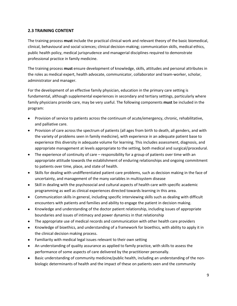### **2.3 TRAINING CONTENT**

The training process **must** include the practical clinical work and relevant theory of the basic biomedical, clinical, behavioural and social sciences; clinical decision-making; communication skills, medical ethics, public health policy, medical jurisprudence and managerial disciplines required to demonstrate professional practice in family medicine.

The training process **must** ensure development of knowledge, skills, attitudes and personal attributes in the roles as medical expert, health advocate, communicator, collaborator and team-worker, scholar, administrator and manager.

For the development of an effective family physician, education in the primary care setting is fundamental, although supplemental experiences in secondary and tertiary settings, particularly where family physicians provide care, may be very useful. The following components **must** be included in the program:

- Provision of service to patients across the continuum of acute/emergency, chronic, rehabilitative, and palliative care.
- Provision of care across the spectrum of patients (all ages from birth to death, all genders, and with the variety of problems seen in family medicine), with experience in an adequate patient base to experience this diversity in adequate volume for learning. This includes assessment, diagnosis, and appropriate management at levels appropriate to the setting, both medical and surgical/procedural.
- The experience of continuity of care responsibility for a group of patients over time with an appropriate attitude towards the establishment of enduring relationships and ongoing commitment to patients over time, place, and state of health.
- Skills for dealing with undifferentiated patient care problems, such as decision making in the face of uncertainty, and management of the many variables in multisystem disease
- Skill in dealing with the psychosocial and cultural aspects of health care with specific academic programming as well as clinical experiences directed towards learning in this area.
- Communication skills in general, including specific interviewing skills such as dealing with difficult encounters with patients and families and ability to engage the patient in decision making.
- Knowledge and understanding of the doctor patient relationship, including issues of appropriate boundaries and issues of intimacy and power dynamics in that relationship
- The appropriate use of medical records and communication with other health care providers
- Knowledge of bioethics, and understanding of a framework for bioethics, with ability to apply it in the clinical decision making process.
- Familiarity with medical legal issues relevant to their own setting
- An understanding of quality assurance as applied to family practice, with skills to assess the performance of some aspects of care delivered by the practitioner personally.
- Basic understanding of community medicine/public health, including an understanding of the nonbiologic determinants of health and the impact of these on patients seen and the community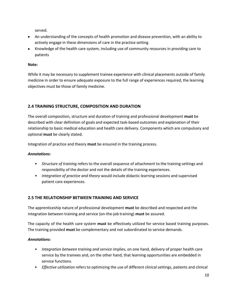served.

- An understanding of the concepts of health promotion and disease prevention, with an ability to actively engage in these dimensions of care in the practice setting
- Knowledge of the health care system, including use of community resources in providing care to patients

### **Note:**

While it may be necessary to supplement trainee experience with clinical placements outside of family medicine in order to ensure adequate exposure to the full range of experiences required, the learning objectives must be those of family medicine.

### **2.4 TRAINING STRUCTURE, COMPOSITION AND DURATION**

The overall composition, structure and duration of training and professional development **must** be described with clear definition of goals and expected task-based outcomes and explanation of their relationship to basic medical education and health care delivery. Components which are compulsory and optional **must** be clearly stated.

Integration of practice and theory **must** be ensured in the training process.

### *Annotations:*

- *Structure of training* refers to the overall sequence of attachment to the training settings and responsibility of the doctor and not the details of the training experiences.
- *Integration of practice and theory* would include didactic learning sessions and supervised patient care experiences.

### **2.5 THE RELATIONSHIP BETWEEN TRAINING AND SERVICE**

The apprenticeship nature of professional development **must** be described and respected and the integration between training and service (on-the-job training) **must** be assured.

The capacity of the health care system **must** be effectively utilized for service based training purposes. The training provided **must** be complementary and not subordinated to service demands.

### *Annotations:*

- *Integration between training and service* implies, on one hand, delivery of proper health care service by the trainees and, on the other hand, that learning opportunities are embedded in service functions.
- *Effective utilization* refers to optimizing the use of different clinical settings, patients and clinical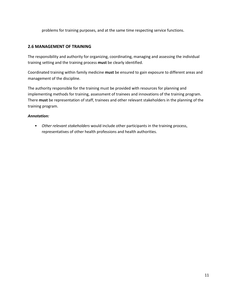problems for training purposes, and at the same time respecting service functions.

### **2.6 MANAGEMENT OF TRAINING**

The responsibility and authority for organizing, coordinating, managing and assessing the individual training setting and the training process **must** be clearly identified.

Coordinated training within family medicine **must** be ensured to gain exposure to different areas and management of the discipline.

The authority responsible for the training must be provided with resources for planning and implementing methods for training, assessment of trainees and innovations of the training program. There **must** be representation of staff, trainees and other relevant stakeholders in the planning of the training program.

### *Annotation:*

• *Other relevant stakeholders* would include other participants in the training process, representatives of other health professions and health authorities.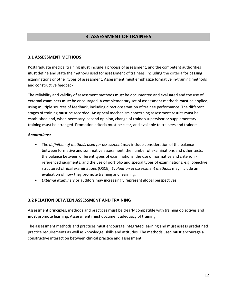### **3. ASSESSMENT OF TRAINEES**

### **3.1 ASSESSMENT METHODS**

Postgraduate medical training **must** include a process of assessment, and the competent authorities **must** define and state the methods used for assessment of trainees, including the criteria for passing examinations or other types of assessment. Assessment **must** emphasize formative in-training methods and constructive feedback.

The reliability and validity of assessment methods **must** be documented and evaluated and the use of external examiners **must** be encouraged. A complementary set of assessment methods **must** be applied, using multiple sources of feedback, including direct observation of trainee performance. The different stages of training **must** be recorded. An appeal mechanism concerning assessment results **must** be established and, when necessary, second opinion, change of trainer/supervisor or supplementary training **must** be arranged. Promotion criteria must be clear, and available to trainees and trainers.

#### *Annotations:*

- The *definition of methods used for assessment* may include consideration of the balance between formative and summative assessment, the number of examinations and other tests, the balance between different types of examinations, the use of normative and criterion referenced judgments, and the use of portfolio and special types of examinations, e.g. objective structured clinical examinations (OSCE). *Evaluation of assessment methods* may include an evaluation of how they promote training and learning.
- *External examiners* or auditors may increasingly represent global perspectives.

#### **3.2 RELATION BETWEEN ASSESSMENT AND TRAINING**

Assessment principles, methods and practices **must** be clearly compatible with training objectives and **must** promote learning. Assessment **must** document adequacy of training.

The assessment methods and practices **must** encourage integrated learning and **must** assess predefined practice requirements as well as knowledge, skills and attitudes. The methods used **must** encourage a constructive interaction between clinical practice and assessment.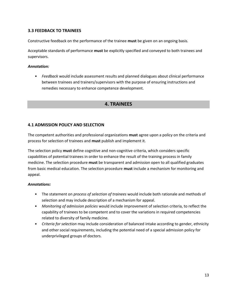### **3.3 FEEDBACK TO TRAINEES**

Constructive feedback on the performance of the trainee **must** be given on an ongoing basis.

Acceptable standards of performance **must** be explicitly specified and conveyed to both trainees and supervisors.

#### *Annotation:*

• *Feedback* would include assessment results and planned dialogues about clinical performance between trainees and trainers/supervisors with the purpose of ensuring instructions and remedies necessary to enhance competence development.

### **4. TRAINEES**

### **4.1 ADMISSION POLICY AND SELECTION**

The competent authorities and professional organizations **must** agree upon a policy on the criteria and process for selection of trainees and **must** publish and implement it.

The selection policy **must** define cognitive and non-cognitive criteria, which considers specific capabilities of potential trainees in order to enhance the result of the training process in family medicine. The selection procedure **must** be transparent and admission open to all qualified graduates from basic medical education. The selection procedure **must** include a mechanism for monitoring and appeal.

#### *Annotations:*

- The statement on *process of selection of trainees* would include both rationale and methods of selection and may include description of a mechanism for appeal.
- *Monitoring of admission policies* would include improvement of selection criteria, to reflect the capability of trainees to be competent and to cover the variations in required competencies related to diversity of family medicine.
- *Criteria for selection* may include consideration of balanced intake according to gender, ethnicity and other social requirements, including the potential need of a special admission policy for underprivileged groups of doctors.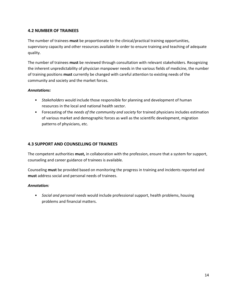### **4.2 NUMBER OF TRAINEES**

The number of trainees **must** be proportionate to the clinical/practical training opportunities, supervisory capacity and other resources available in order to ensure training and teaching of adequate quality.

The number of trainees **must** be reviewed through consultation with relevant stakeholders. Recognizing the inherent unpredictability of physician manpower needs in the various fields of medicine, the number of training positions **must** currently be changed with careful attention to existing needs of the community and society and the market forces.

### *Annotations:*

- *Stakeholders* would include those responsible for planning and development of human resources in the local and national health sector.
- Forecasting of the *needs of the community and society* for trained physicians includes estimation of various market and demographic forces as well as the scientific development, migration patterns of physicians, etc.

### **4.3 SUPPORT AND COUNSELLING OF TRAINEES**

The competent authorities **must,** in collaboration with the profession, ensure that a system for support, counseling and career guidance of trainees is available.

Counseling **must** be provided based on monitoring the progress in training and incidents reported and **must** address social and personal needs of trainees.

### *Annotation:*

• *Social and personal needs* would include professional support, health problems, housing problems and financial matters.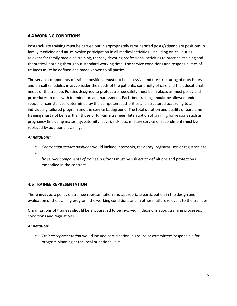### **4.4 WORKING CONDITIONS**

Postgraduate training **must** be carried out in appropriately remunerated posts/stipendiary positions in family medicine and **must** involve participation in all medical activities - including on-call duties relevant for family medicine training, thereby devoting professional activities to practical training and theoretical learning throughout standard working time. The service conditions and responsibilities of trainees **must** be defined and made known to all parties.

The service components of trainee positions **must** not be excessive and the structuring of duty hours and on-call schedules **must** consider the needs of the patients, continuity of care and the educational needs of the trainee. Policies designed to protect trainee safety must be in place, as must policy and procedures to deal with intimidation and harassment. Part-time training **should** be allowed under special circumstances, determined by the competent authorities and structured according to an individually tailored program and the service background. The total duration and quality of part-time training **must not** be less than those of full-time trainees. Interruption of training for reasons such as pregnancy (including maternity/paternity leave), sickness, military service or secondment **must be** replaced by additional training.

### *Annotations:*

- *Contractual service positions* would include internship, residency, registrar, senior registrar, etc.
- *T*

*he service components of trainee positions* must be subject to definitions and protections embodied in the contract.

### **4.5 TRAINEE REPRESENTATION**

There **must** be a policy on trainee representation and appropriate participation in the design and evaluation of the training program, the working conditions and in other matters relevant to the trainees.

Organizations of trainees **should** be encouraged to be involved in decisions about training processes, conditions and regulations.

### *Annotation:*

• *Trainee representation* would include participation in groups or committees responsible for program planning at the local or national level.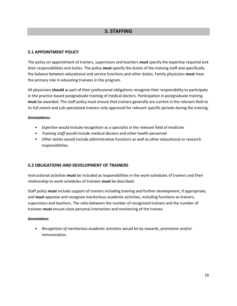### **5. STAFFING**

### **5.1 APPOINTMENT POLICY**

The policy on appointment of trainers, supervisors and teachers **must** specify the expertise required and their responsibilities and duties. The policy **must** specify the duties of the training staff and specifically the balance between educational and service functions and other duties. Family physicians **must** have the primary role in educating trainees in the program.

All physicians **should** as part of their professional obligations recognize their responsibility to participate in the practice-based postgraduate training of medical doctors. Participation in postgraduate training **must** be awarded. The staff policy must ensure that trainers generally are current in the relevant field to its full extent and sub-specialized trainers only approved for relevant specific periods during the training.

### *Annotations:*

- *Expertise* would include recognition as a specialist in the relevant field of medicine
- *Training staff* would include medical doctors and other health personnel
- *Other duties* would include administrative functions as well as other educational or research responsibilities.

### **5.2 OBLIGATIONS AND DEVELOPMENT OF TRAINERS**

Instructional activities **must** be included as responsibilities in the work-schedules of trainers and their relationship to work-schedules of trainees **must** be described.

Staff policy **must** include support of trainers including training and further development, if appropriate, and **must** appraise and recognize meritorious academic activities, including functions as trainers, supervisors and teachers. The ratio between the number of recognized trainers and the number of trainees **must** ensure close personal interaction and monitoring of the trainee.

#### *Annotation:*

• *Recognition of meritorious academic activities* would be by rewards, promotion and/or remuneration.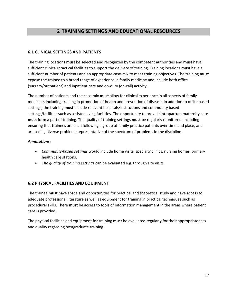### **6. TRAINING SETTINGS AND EDUCATIONAL RESOURCES**

### **6.1 CLINICAL SETTINGS AND PATIENTS**

The training locations **must** be selected and recognized by the competent authorities and **must** have sufficient clinical/practical facilities to support the delivery of training. Training locations **must** have a sufficient number of patients and an appropriate case-mix to meet training objectives. The training **must**  expose the trainee to a broad range of experience in family medicine and include both office (surgery/outpatient) and inpatient care and on-duty (on-call) activity.

The number of patients and the case-mix **must** allow for clinical experience in all aspects of family medicine, including training in promotion of health and prevention of disease. In addition to office based settings, the training **must** include relevant hospitals/institutions and community based settings/facilities such as assisted living facilities. The opportunity to provide intrapartum maternity care **must** form a part of training. The quality of training settings **must** be regularly monitored, including ensuring that trainees are each following a group of family practice patients over time and place, and are seeing diverse problems representative of the spectrum of problems in the discipline.

### *Annotations:*

- *Community-based settings* would include home visits, specialty clinics, nursing homes, primary health care stations.
- *The quality of training settings* can be evaluated e.g. through site visits.

### **6.2 PHYSICAL FACILITIES AND EQUIPMENT**

The trainee **must** have space and opportunities for practical and theoretical study and have access to adequate professional literature as well as equipment for training in practical techniques such as procedural skills. There **must** be access to tools of information management in the areas where patient care is provided.

The physical facilities and equipment for training **must** be evaluated regularly for their appropriateness and quality regarding postgraduate training.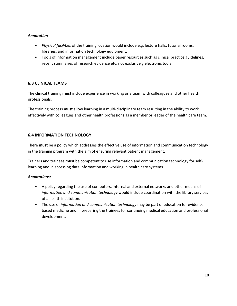### *Annotation*

- *Physical facilities* of the training location would include e.g. lecture halls, tutorial rooms, libraries, and information technology equipment.
- Tools of information management include paper resources such as clinical practice guidelines, recent summaries of research evidence etc, not exclusively electronic tools

### **6.3 CLINICAL TEAMS**

The clinical training **must** include experience in working as a team with colleagues and other health professionals.

The training process **must** allow learning in a multi-disciplinary team resulting in the ability to work effectively with colleagues and other health professions as a member or leader of the health care team.

### **6.4 INFORMATION TECHNOLOGY**

There **must** be a policy which addresses the effective use of information and communication technology in the training program with the aim of ensuring relevant patient management.

Trainers and trainees **must** be competent to use information and communication technology for selflearning and in accessing data information and working in health care systems.

### *Annotations:*

- A policy regarding the use of computers, internal and external networks and other means of *information and communication technology* would include coordination with the library services of a health institution.
- The use of *information and communication technology* may be part of education for evidencebased medicine and in preparing the trainees for continuing medical education and professional development.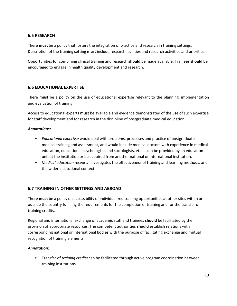### **6.5 RESEARCH**

There **must** be a policy that fosters the integration of practice and research in training settings. Description of the training setting **must** include research facilities and research activities and priorities.

Opportunities for combining clinical training and research **should** be made available. Trainees **should** be encouraged to engage in health quality development and research.

### **6.6 EDUCATIONAL EXPERTISE**

There **must** be a policy on the use of educational expertise relevant to the planning, implementation and evaluation of training.

Access to educational experts **must** be available and evidence demonstrated of the use of such expertise for staff development and for research in the discipline of postgraduate medical education.

### *Annotations:*

- *Educational expertise* would deal with problems, processes and practice of postgraduate medical training and assessment, and would include medical doctors with experience in medical education, educational psychologists and sociologists, etc. It can be provided by an education unit at the institution or be acquired from another national or international institution.
- *Medical education research* investigates the effectiveness of training and learning methods, and the wider institutional context.

### **6.7 TRAINING IN OTHER SETTINGS AND ABROAD**

There **must** be a policy on accessibility of individualized training opportunities at other sites within or outside the country fulfilling the requirements for the completion of training and for the transfer of training credits.

Regional and international exchange of academic staff and trainees **should** be facilitated by the provision of appropriate resources. The competent authorities **should** establish relations with corresponding national or international bodies with the purpose of facilitating exchange and mutual recognition of training elements.

### *Annotation:*

• Transfer of *training credits* can be facilitated through active program coordination between training institutions.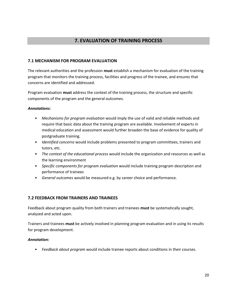### **7. EVALUATION OF TRAINING PROCESS**

### **7.1 MECHANISM FOR PROGRAM EVALUATION**

The relevant authorities and the profession **must** establish a mechanism for evaluation of the training program that monitors the training process, facilities and progress of the trainee, and ensures that concerns are identified and addressed.

Program evaluation **must** address the context of the training process, the structure and specific components of the program and the general outcomes.

### *Annotations:*

- *Mechanisms for program evaluation* would imply the use of valid and reliable methods and require that basic data about the training program are available. Involvement of experts in medical education and assessment would further broaden the base of evidence for quality of postgraduate training.
- *Identified concerns* would include problems presented to program committees, trainers and tutors, etc.
- *The context of the educational process* would include the organization and resources as well as the learning environment
- *Specific components for program evaluation* would include training program description and performance of trainees
- *General outcomes* would be measured e.g. by career choice and performance.

### **7.2 FEEDBACK FROM TRAINERS AND TRAINEES**

Feedback about program quality from both trainers and trainees **must** be systematically sought, analyzed and acted upon.

Trainers and trainees **must** be actively involved in planning program evaluation and in using its results for program development.

#### *Annotation:*

• *Feedback about program* would include trainee reports about conditions in their courses.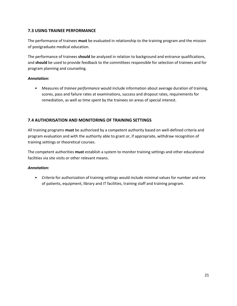### **7.3 USING TRAINEE PERFORMANCE**

The performance of trainees **must** be evaluated in relationship to the training program and the mission of postgraduate medical education.

The performance of trainees **should** be analyzed in relation to background and entrance qualifications, and **should** be used to provide feedback to the committees responsible for selection of trainees and for program planning and counseling.

### *Annotation:*

• Measures of *trainee performance* would include information about average duration of training, scores, pass and failure rates at examinations, success and dropout rates, requirements for remediation, as well as time spent by the trainees on areas of special interest.

### **7.4 AUTHORISATION AND MONITORING OF TRAINING SETTINGS**

All training programs **must** be authorized by a competent authority based on well-defined criteria and program evaluation and with the authority able to grant or, if appropriate, withdraw recognition of training settings or theoretical courses.

The competent authorities **must** establish a system to monitor training settings and other educational facilities via site visits or other relevant means.

### *Annotation:*

• *Criteria* for authorization of training settings would include minimal values for number and mix of patients, equipment, library and IT facilities, training staff and training program.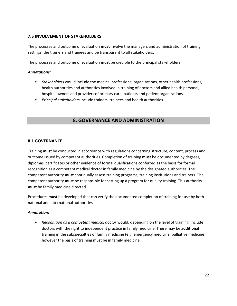### **7.5 INVOLVEMENT OF STAKEHOLDERS**

The processes and outcome of evaluation **must** involve the managers and administration of training settings, the trainers and trainees and be transparent to all stakeholders.

The processes and outcome of evaluation **must** be credible to the principal stakeholders

### *Annotations:*

- *Stakeholders* would include the medical professional organizations, other health professions, health authorities and authorities involved in training of doctors and allied health personal, hospital owners and providers of primary care, patients and patient organizations.
- *Principal stakeholders* include trainers, trainees and health authorities.

### **8. GOVERNANCE AND ADMINISTRATION**

### **8.1 GOVERNANCE**

Training **must** be conducted in accordance with regulations concerning structure, content, process and outcome issued by competent authorities. Completion of training **must** be documented by degrees, diplomas, certificates or other evidence of formal qualifications conferred as the basis for formal recognition as a competent medical doctor in family medicine by the designated authorities. The competent authority **must** continually assess training programs, training institutions and trainers. The competent authority **must** be responsible for setting up a program for quality training. This authority **must** be family medicine directed.

Procedures **must** be developed that can verify the documented completion of training for use by both national and international authorities.

### *Annotation:*

• *Recognition as a competent medical doctor* would, depending on the level of training, include doctors with the right to independent practice in family medicine. There may be **additional** training in the subspecialties of family medicine (e.g. emergency medicine, palliative medicine); however the basis of training must be in family medicine.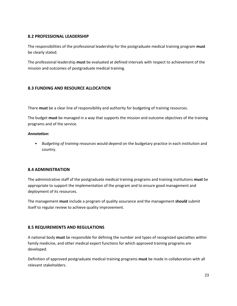### **8.2 PROFESSIONAL LEADERSHIP**

The responsibilities of the professional leadership for the postgraduate medical training program **must** be clearly stated.

The professional leadership **must** be evaluated at defined intervals with respect to achievement of the mission and outcomes of postgraduate medical training.

### **8.3 FUNDING AND RESOURCE ALLOCATION**

There **must** be a clear line of responsibility and authority for budgeting of training resources.

The budget **must** be managed in a way that supports the mission and outcome objectives of the training programs and of the service.

### *Annotation:*

• *Budgeting of training resources* would depend on the budgetary practice in each institution and country.

### **8.4 ADMINISTRATION**

The administrative staff of the postgraduate medical training programs and training institutions **must** be appropriate to support the implementation of the program and to ensure good management and deployment of its resources.

The management **must** include a program of quality assurance and the management **should** submit itself to regular review to achieve quality improvement.

### **8.5 REQUIREMENTS AND REGULATIONS**

A national body **must** be responsible for defining the number and types of recognized specialties within family medicine, and other medical expert functions for which approved training programs are developed.

Definition of approved postgraduate medical training programs **must** be made in collaboration with all relevant stakeholders.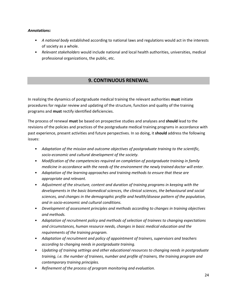### *Annotations:*

- *A national body* established according to national laws and regulations would act in the interests of society as a whole.
- *Relevant stakeholders* would include national and local health authorities, universities, medical professional organizations, the public, etc.

### **9. CONTINUOUS RENEWAL**

In realizing the dynamics of postgraduate medical training the relevant authorities **must** initiate procedures for regular review and updating of the structure, function and quality of the training programs and **must** rectify identified deficiencies.

The process of renewal **must** be based on prospective studies and analyses and **should** lead to the revisions of the policies and practices of the postgraduate medical training programs in accordance with past experience, present activities and future perspectives. In so doing, it **should** address the following issues:

- *Adaptation of the mission and outcome objectives of postgraduate training to the scientific, socio-economic and cultural development of the society.*
- *Modification of the competencies required on completion of postgraduate training in family medicine in accordance with the needs of the environment the newly trained doctor will enter.*
- *Adaptation of the learning approaches and training methods to ensure that these are appropriate and relevant.*
- *Adjustment of the structure, content and duration of training programs in keeping with the developments in the basic biomedical sciences, the clinical sciences, the behavioural and social sciences, and changes in the demographic profile and health/disease pattern of the population, and in socio-economic and cultural conditions.*
- *Development of assessment principles and methods according to changes in training objectives and methods.*
- *Adaptation of recruitment policy and methods of selection of trainees to changing expectations and circumstances, human resource needs, changes in basic medical education and the requirements of the training program.*
- *Adaptation of recruitment and policy of appointment of trainers, supervisors and teachers according to changing needs in postgraduate training.*
- *Updating of training settings and other educational resources to changing needs in postgraduate training, i.e. the number of trainees, number and profile of trainers, the training program and contemporary training principles.*
- *Refinement of the process of program monitoring and evaluation.*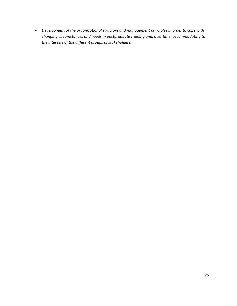• *Development of the organizational structure and management principles in order to cope with changing circumstances and needs in postgraduate training and, over time, accommodating to the interests of the different groups of stakeholders.*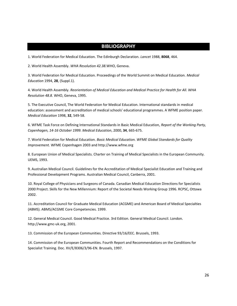### **BIBLIOGRAPHY**

1. World Federation for Medical Education. The Edinburgh Declaration. *Lancet* 1988, **8068**, 464.

2. World Health Assembly. *WHA Resolution 42.38.*WHO, Geneva.

3. World Federation for Medical Education. Proceedings of the World Summit on Medical Education. *Medical Education* 1994, **28**, (Suppl.1).

4. World Health Assembly. *Reorientation of Medical Education and Medical Practice for Health for All. WHA Resolution 48.8.* WHO, Geneva, 1995.

5. The Executive Council, The World Federation for Medical Education. International standards in medical education: assessment and accreditation of medical schools' educational programmes. A WFME position paper. *Medical Education* 1998, **32**, 549-58.

6. WFME Task Force on Defining International Standards in Basic Medical Education, *Report of the Working Party, Copenhagen, 14-16 October 1999. Medical Education*, 2000, **34**, 665-675.

7. World Federation for Medical Education. *Basic Medical Education. WFME Global Standards for Quality Improvement.* WFME Copenhagen 2003 and http://www.wfme.org

8. European Union of Medical Specialists. Charter on Training of Medical Specialists in the European Community. UEMS, 1993.

9. Australian Medical Council. Guidelines for the Accreditation of Medical Specialist Education and Training and Professional Development Programs. Australian Medical Council, Canberra, 2001.

10. Royal College of Physicians and Surgeons of Canada. Canadian Medical Education Directions for Specialists 2000 Project. Skills for the New Millennium: Report of the Societal Needs Working Group 1996. RCPSC, Ottawa 2002.

11. Accreditation Council for Graduate Medical Education (ACGME) and American Board of Medical Specialties (ABMS). ABMS/ACGME Core Competencies. 1999.

12. General Medical Council. Good Medical Practice. 3rd Edition. General Medical Council. London. http://www.gmc-uk.org, 2001.

13. Commission of the European Communities. Directive 93/16/EEC. Brussels, 1993.

14. Commission of the European Communities. Fourth Report and Recommendations on the Conditions for Specialist Training. Doc. XV/E/8306/3/96-EN. Brussels, 1997.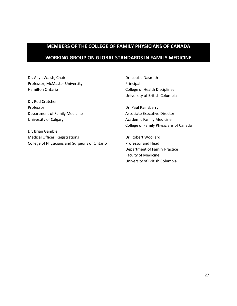## **MEMBERS OF THE COLLEGE OF FAMILY PHYSICIANS OF CANADA WORKING GROUP ON GLOBAL STANDARDS IN FAMILY MEDICINE**

Dr. Allyn Walsh, Chair Professor, McMaster University Hamilton Ontario

Dr. Rod Crutcher Professor Department of Family Medicine University of Calgary

Dr. Brian Gamble Medical Officer, Registrations College of Physicians and Surgeons of Ontario

Dr. Louise Nasmith Principal College of Health Disciplines University of British Columbia

Dr. Paul Rainsberry Associate Executive Director Academic Family Medicine College of Family Physicians of Canada

Dr. Robert Woollard Professor and Head Department of Family Practice Faculty of Medicine University of British Columbia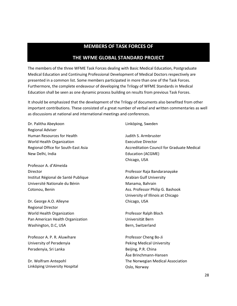### **MEMBERS OF TASK FORCES OF**

### **THE WFME GLOBAL STANDARD PROJECT**

The members of the three WFME Task Forces dealing with Basic Medical Education, Postgraduate Medical Education and Continuing Professional Development of Medical Doctors respectively are presented in a common list. Some members participated in more than one of the Task Forces. Furthermore, the complete endeavour of developing the Trilogy of WFME Standards in Medical Education shall be seen as one dynamic process building on results from previous Task Forces.

It should be emphasized that the development of the Trilogy of documents also benefited from other important contributions. These consisted of a great number of verbal and written commentaries as well as discussions at national and international meetings and conferences.

Dr. Palitha Abeykoon Regional Adviser Human Resources for Health World Health Organization Regional Office for South-East Asia New Delhi, India

Professor A. d'Almeida Director Institut Régional de Santé Publique Université Nationale du Bénin Cotonou, Benin

Dr. George A.O. Alleyne Regional Director World Health Organization Pan American Health Organization Washington, D.C, USA

Professor A. P. R. Aluwihare University of Peradenyia Peradenyia, Sri Lanka

Dr. Wolfram Antepohl Linköping University Hospital Linköping, Sweden

Judith S. Armbruster Executive Director Accreditation Council for Graduate Medical Education (ACGME) Chicago, USA

Professor Raja Bandaranayake Arabian Gulf University Manama, Bahrain Ass. Professor Philip G. Bashook University of Illinois at Chicago Chicago, USA

Professor Ralph Bloch Universität Bern Bern, Switzerland

Professor Cheng Bo-Ji Peking Medical University Beijing, P.R. China Åse Brinchmann-Hansen The Norwegian Medical Association Oslo, Norway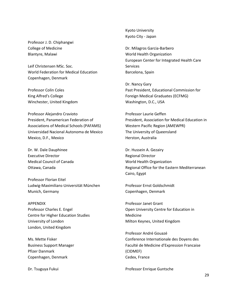Professor J. D. Chiphangwi College of Medicine Blantyre, Malawi

Leif Christensen MSc. Soc. World Federation for Medical Education Copenhagen, Denmark

Professor Colin Coles King Alfred's College Winchester, United Kingdom

Professor Alejandro Cravioto President, Panamerican Federation of Associations of Medical Schools (PAFAMS) Universidad Nacional Autonoma de Mexico Mexico, D.F., Mexico

Dr. W. Dale Dauphinee Executive Director Medical Council of Canada Ottawa, Canada

Professor Florian Eitel Ludwig-Maximilians-Universität München Munich, Germany

APPENDIX Professor Charles E. Engel Centre for Higher Education Studies University of London London, United Kingdom

Ms. Mette Fisker Business Support Manager Pfizer Danmark Copenhagen, Denmark

Dr. Tsuguya Fukui

Kyoto University Kyoto City - Japan

Dr. Milagros Garcia-Barbero World Health Organization European Center for Integrated Health Care Services Barcelona, Spain

Dr. Nancy Gary Past President, Educational Commission for Foreign Medical Graduates (ECFMG) Washington, D.C., USA

Professor Laurie Geffen President, Association for Medical Education in Western Pacific Region (AMEWPR) The University of Queensland Herston, Australia

Dr. Hussein A. Gezairy Regional Director World Health Organization Regional Office for the Eastern Mediterranean Cairo, Egypt

Professor Ernst Goldschmidt Copenhagen, Denmark

Professor Janet Grant Open University Centre for Education in Medicine Milton Keynes, United Kingdom

Professor André Gouazé Conference Internationale des Doyens des Faculté de Medicine d'Expression Francaise (CIDMEF) Cedex, France

Professor Enrique Guntsche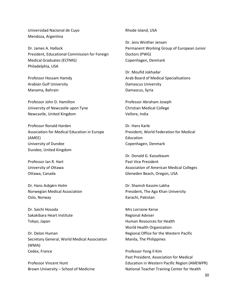Universidad Nacional de Cuyo Mendoza, Argentina

Dr. James A. Hallock President, Educational Commission for Foreign Medical Graduates (ECFMG) Philadelphia, USA

Professor Hossam Hamdy Arabian Gulf University Manama, Bahrain

Professor John D. Hamilton University of Newcastle upon Tyne Newcastle, United Kingdom

Professor Ronald Harden Association for Medical Education in Europe (AMEE) University of Dundee Dundee, United Kingdom

Professor Ian R. Hart University of Ottawa Ottawa, Canada

Dr. Hans Asbjørn Holm Norwegian Medical Association Oslo, Norway

Dr. Saichi Hosoda Sakakibara Heart Institute Tokyo, Japan

Dr. Delon Human Secretary General, World Medical Association (WMA) Cedex, France

Professor Vincent Hunt Brown University – School of Medicine Rhode Island, USA

Dr. Jens Winther Jensen Permanent Working Group of European Junior Doctors (PWG) Copenhagen, Denmark

Dr. Moufid Jokhadar Arab Board of Medical Specialisations Damascus University Damascus, Syria

Professor Abraham Joseph Christian Medical College Vellore, India

Dr. Hans Karle President, World Federation for Medical Education Copenhagen, Denmark

Dr. Donald G. Kassebaum Past Vice President Association of American Medical Colleges Gleneden Beach, Oregon, USA

Dr. Shamsh Kassim-Lakha President, The Aga Khan University Karachi, Pakistan

Mrs Lorraine Kerse Regional Adviser Human Resources for Health World Health Organization Regional Office for the Western Pacific Manila, The Philippines

Professor Yong Il Kim Past President, Association for Medical Education in Western Pacific Region (AMEWPR) National Teacher Training Center for Health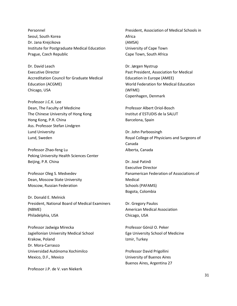Personnel Seoul, South Korea Dr. Jana Krejcikova Institute for Postgraduate Medical Education Prague, Czech Republic

Dr. David Leach Executive Director Accreditation Council for Graduate Medical Education (ACGME) Chicago, USA

Professor J.C.K. Lee Dean, The Faculty of Medicine The Chinese University of Hong Kong Hong Kong, P.R. China Ass. Professor Stefan Lindgren Lund University Lund, Sweden

Professor Zhao-feng Lu Peking University Health Sciences Center Beijing, P.R. China

Professor Oleg S. Medvedev Dean, Moscow State University Moscow, Russian Federation

Dr. Donald E. Melnick President, National Board of Medical Examiners (NBME) Philadelphia, USA

Professor Jadwiga Mirecka Jagiellonian University Medical School Krakow, Poland Dr. Mora-Carrasco Universidad Autónoma Xochimilco Mexico, D.F., Mexico

Professor J.P. de V. van Niekerk

President, Association of Medical Schools in Africa (AMSA) University of Cape Town Cape Town, South Africa

Dr. Jørgen Nystrup Past President, Association for Medical Education in Europe (AMEE) World Federation for Medical Education (WFME) Copenhagen, Denmark

Professor Albert Oriol-Bosch Institut d´ESTUDIS de la SALUT Barcelona, Spain

Dr. John Parboosingh Royal College of Physicians and Surgeons of Canada Alberta, Canada

Dr. José Patinõ Executive Director Panamerican Federation of Associations of Medical Schools (PAFAMS) Bogota, Colombia

Dr. Gregory Paulos American Medical Association Chicago, USA

Professor Gönül O. Peker Ege University School of Medicine Izmir, Turkey

Professor David Prigollini University of Buenos Aires Buenos Aires, Argentina 27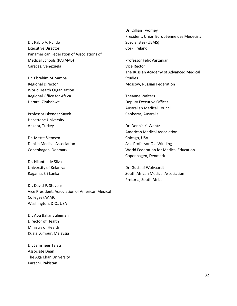Dr. Pablo A. Pulido Executive Director Panamerican Federation of Associations of Medical Schools (PAFAMS) Caracas, Venezuela

Dr. Ebrahim M. Samba Regional Director World Health Organization Regional Office for Africa Harare, Zimbabwe

Professor Iskender Sayek Hacettepe University Ankara, Turkey

Dr. Mette Siemsen Danish Medical Association Copenhagen, Denmark

Dr. Nilanthi de Silva University of Kelaniya Ragama, Sri Lanka

Dr. David P. Stevens Vice President, Association of American Medical Colleges (AAMC) Washington, D.C., USA

Dr. Abu Bakar Suleiman Director of Health Ministry of Health Kuala Lumpur, Malaysia

Dr. Jamsheer Talati Associate Dean The Aga Khan University Karachi, Pakistan

Dr. Cillian Twomey President, Union Européenne des Médecins Spécialistes (UEMS) Cork, Ireland

Professor Felix Vartanian Vice Rector The Russian Academy of Advanced Medical Studies Moscow, Russian Federation

Theanne Walters Deputy Executive Officer Australian Medical Council Canberra, Australia

Dr. Dennis K. Wentz American Medical Association Chicago, USA Ass. Professor Ole Winding World Federation for Medical Education Copenhagen, Denmark

Dr. Gustaaf Wolvaardt South African Medical Association Pretoria, South Africa